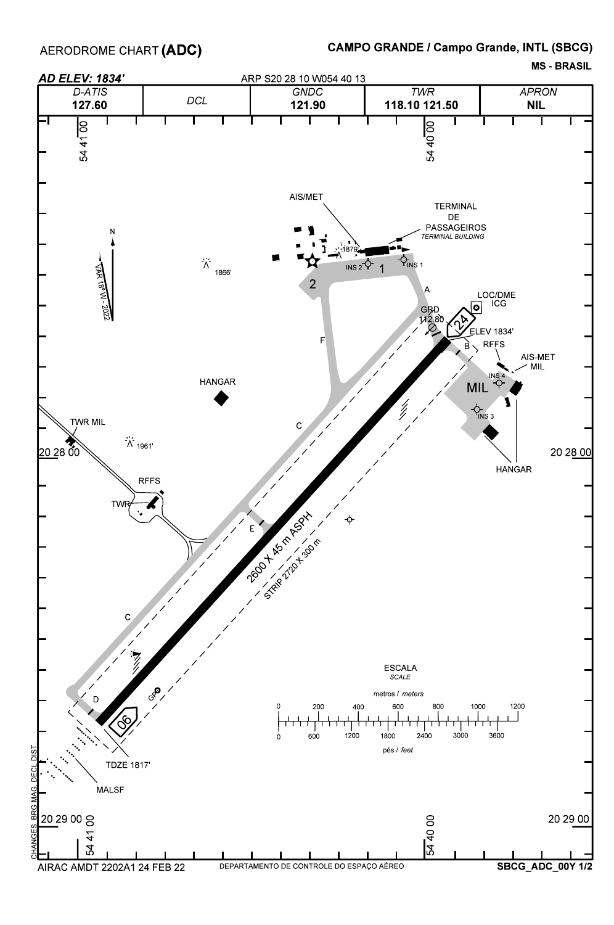MS - BRASIL